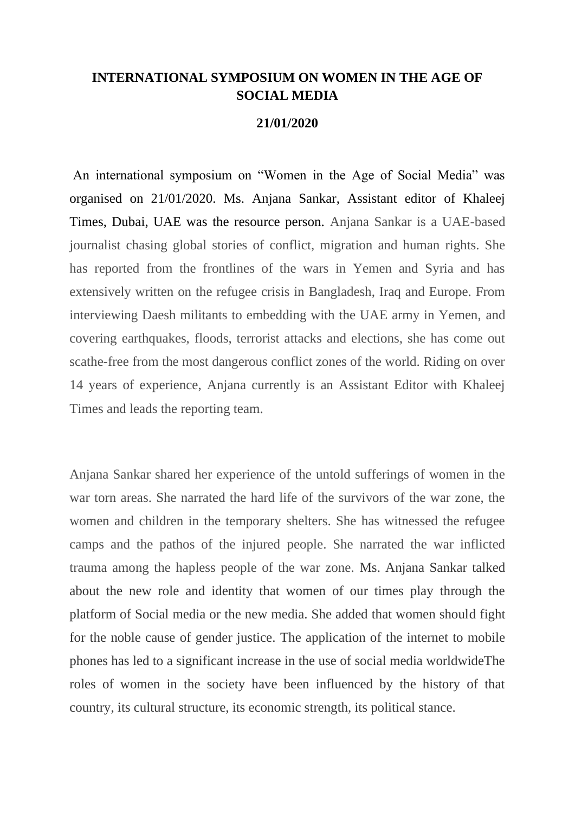## **INTERNATIONAL SYMPOSIUM ON WOMEN IN THE AGE OF SOCIAL MEDIA**

## **21/01/2020**

An international symposium on "Women in the Age of Social Media" was organised on 21/01/2020. Ms. Anjana Sankar, Assistant editor of Khaleej Times, Dubai, UAE was the resource person. Anjana Sankar is a UAE-based journalist chasing global stories of conflict, migration and human rights. She has reported from the frontlines of the wars in Yemen and Syria and has extensively written on the refugee crisis in Bangladesh, Iraq and Europe. From interviewing Daesh militants to embedding with the UAE army in Yemen, and covering earthquakes, floods, terrorist attacks and elections, she has come out scathe-free from the most dangerous conflict zones of the world. Riding on over 14 years of experience, Anjana currently is an Assistant Editor with Khaleej Times and leads the reporting team.

Anjana Sankar shared her experience of the untold sufferings of women in the war torn areas. She narrated the hard life of the survivors of the war zone, the women and children in the temporary shelters. She has witnessed the refugee camps and the pathos of the injured people. She narrated the war inflicted trauma among the hapless people of the war zone. Ms. Anjana Sankar talked about the new role and identity that women of our times play through the platform of Social media or the new media. She added that women should fight for the noble cause of gender justice. The application of the internet to mobile phones has led to a significant increase in the use of social media worldwideThe roles of women in the society have been influenced by the history of that country, its cultural structure, its economic strength, its political stance.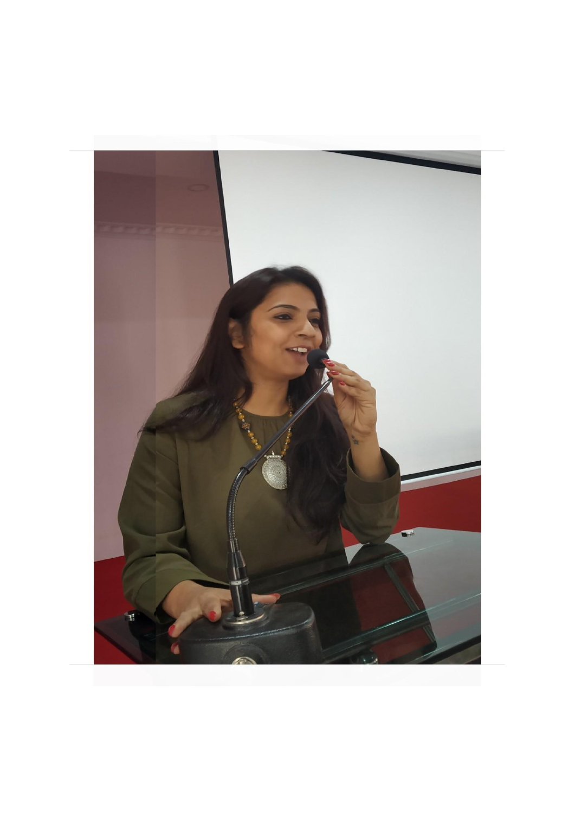